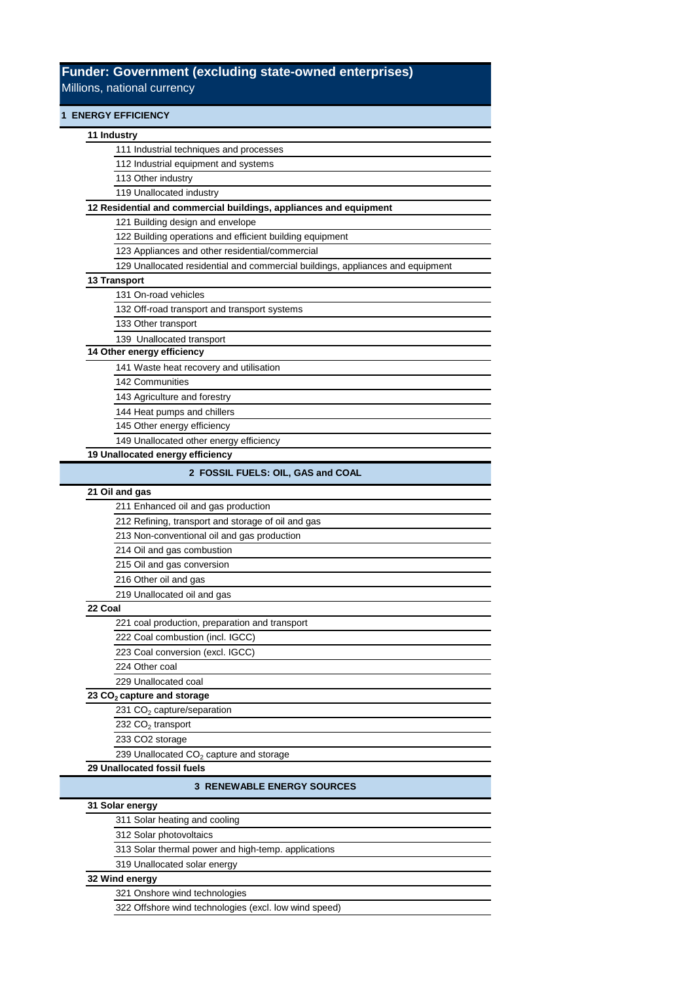## **Funder: Government (excluding state-owned enterprises)** Millions, national currency

| <b>1 ENERGY EFFICIENCY</b>                                                     |
|--------------------------------------------------------------------------------|
| 11 Industry                                                                    |
| 111 Industrial techniques and processes                                        |
| 112 Industrial equipment and systems                                           |
| 113 Other industry                                                             |
| 119 Unallocated industry                                                       |
| 12 Residential and commercial buildings, appliances and equipment              |
| 121 Building design and envelope                                               |
| 122 Building operations and efficient building equipment                       |
| 123 Appliances and other residential/commercial                                |
| 129 Unallocated residential and commercial buildings, appliances and equipment |
| 13 Transport                                                                   |
| 131 On-road vehicles                                                           |
| 132 Off-road transport and transport systems                                   |
| 133 Other transport                                                            |
| 139 Unallocated transport                                                      |
| 14 Other energy efficiency                                                     |
| 141 Waste heat recovery and utilisation                                        |
| 142 Communities                                                                |
| 143 Agriculture and forestry                                                   |
| 144 Heat pumps and chillers                                                    |
| 145 Other energy efficiency                                                    |
| 149 Unallocated other energy efficiency                                        |
| 19 Unallocated energy efficiency                                               |
| 2 FOSSIL FUELS: OIL, GAS and COAL                                              |
| 21 Oil and gas                                                                 |
| 211 Enhanced oil and gas production                                            |
| 212 Refining, transport and storage of oil and gas                             |
| 213 Non-conventional oil and gas production                                    |
| 214 Oil and gas combustion                                                     |
| 215 Oil and gas conversion                                                     |
| 216 Other oil and gas                                                          |
| 219 Unallocated oil and gas                                                    |
| 22 Coal                                                                        |
| 221 coal production, preparation and transport                                 |
| 222 Coal combustion (incl. IGCC)                                               |
| 223 Coal conversion (excl. IGCC)                                               |
| 224 Other coal                                                                 |
| 229 Unallocated coal                                                           |
| 23 CO <sub>2</sub> capture and storage                                         |
| 231 CO <sub>2</sub> capture/separation                                         |
| 232 CO <sub>2</sub> transport                                                  |
| 233 CO2 storage                                                                |
| 239 Unallocated CO <sub>2</sub> capture and storage                            |
| 29 Unallocated fossil fuels                                                    |
| <b>3 RENEWABLE ENERGY SOURCES</b>                                              |
| 31 Solar energy                                                                |
| 311 Solar heating and cooling                                                  |

312 Solar photovoltaics

**32 Wind energy**

319 Unallocated solar energy

321 Onshore wind technologies

313 Solar thermal power and high-temp. applications

322 Offshore wind technologies (excl. low wind speed)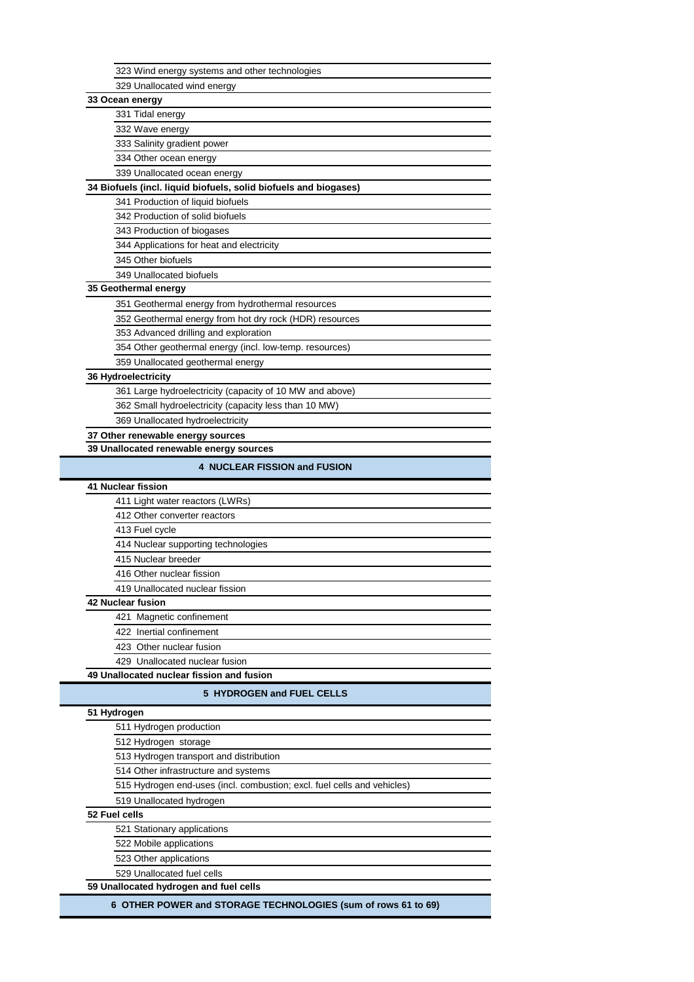| 323 Wind energy systems and other technologies                          |  |
|-------------------------------------------------------------------------|--|
| 329 Unallocated wind energy                                             |  |
| 33 Ocean energy                                                         |  |
| 331 Tidal energy                                                        |  |
| 332 Wave energy                                                         |  |
| 333 Salinity gradient power                                             |  |
| 334 Other ocean energy                                                  |  |
| 339 Unallocated ocean energy                                            |  |
| 34 Biofuels (incl. liquid biofuels, solid biofuels and biogases)        |  |
| 341 Production of liquid biofuels                                       |  |
| 342 Production of solid biofuels                                        |  |
| 343 Production of biogases                                              |  |
| 344 Applications for heat and electricity                               |  |
| 345 Other biofuels                                                      |  |
|                                                                         |  |
| 349 Unallocated biofuels                                                |  |
| 35 Geothermal energy                                                    |  |
| 351 Geothermal energy from hydrothermal resources                       |  |
| 352 Geothermal energy from hot dry rock (HDR) resources                 |  |
| 353 Advanced drilling and exploration                                   |  |
| 354 Other geothermal energy (incl. low-temp. resources)                 |  |
| 359 Unallocated geothermal energy                                       |  |
| 36 Hydroelectricity                                                     |  |
| 361 Large hydroelectricity (capacity of 10 MW and above)                |  |
| 362 Small hydroelectricity (capacity less than 10 MW)                   |  |
| 369 Unallocated hydroelectricity                                        |  |
| 37 Other renewable energy sources                                       |  |
| 39 Unallocated renewable energy sources                                 |  |
| <b>4 NUCLEAR FISSION and FUSION</b>                                     |  |
|                                                                         |  |
| <b>41 Nuclear fission</b>                                               |  |
| 411 Light water reactors (LWRs)                                         |  |
| 412 Other converter reactors                                            |  |
| 413 Fuel cycle                                                          |  |
| 414 Nuclear supporting technologies                                     |  |
| 415 Nuclear breeder                                                     |  |
| 416 Other nuclear fission                                               |  |
| 419 Unallocated nuclear fission                                         |  |
| 42 Nuclear fusion                                                       |  |
| 421 Magnetic confinement                                                |  |
| 422 Inertial confinement                                                |  |
| 423 Other nuclear fusion                                                |  |
| 429 Unallocated nuclear fusion                                          |  |
| 49 Unallocated nuclear fission and fusion                               |  |
|                                                                         |  |
| 5 HYDROGEN and FUEL CELLS                                               |  |
| 51 Hydrogen                                                             |  |
| 511 Hydrogen production                                                 |  |
| 512 Hydrogen storage                                                    |  |
| 513 Hydrogen transport and distribution                                 |  |
| 514 Other infrastructure and systems                                    |  |
| 515 Hydrogen end-uses (incl. combustion; excl. fuel cells and vehicles) |  |
|                                                                         |  |
|                                                                         |  |
| 519 Unallocated hydrogen                                                |  |
| 52 Fuel cells                                                           |  |
| 521 Stationary applications                                             |  |
| 522 Mobile applications                                                 |  |
| 523 Other applications                                                  |  |
| 529 Unallocated fuel cells                                              |  |
| 59 Unallocated hydrogen and fuel cells                                  |  |
| 6 OTHER POWER and STORAGE TECHNOLOGIES (sum of rows 61 to 69)           |  |